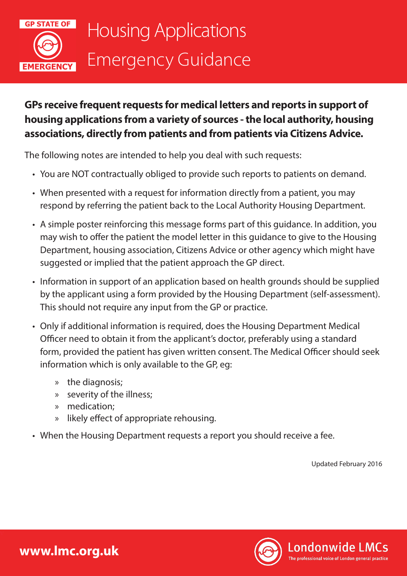

## **GPs receive frequent requests for medical letters and reports in support of housing applications from a variety of sources - the local authority, housing associations, directly from patients and from patients via Citizens Advice.**

The following notes are intended to help you deal with such requests:

- You are NOT contractually obliged to provide such reports to patients on demand.
- When presented with a request for information directly from a patient, you may respond by referring the patient back to the Local Authority Housing Department.
- A simple poster reinforcing this message forms part of this guidance. In addition, you may wish to offer the patient the model letter in this guidance to give to the Housing Department, housing association, Citizens Advice or other agency which might have suggested or implied that the patient approach the GP direct.
- Information in support of an application based on health grounds should be supplied by the applicant using a form provided by the Housing Department (self-assessment). This should not require any input from the GP or practice.
- Only if additional information is required, does the Housing Department Medical Officer need to obtain it from the applicant's doctor, preferably using a standard form, provided the patient has given written consent. The Medical Officer should seek information which is only available to the GP, eg:
	- » the diagnosis;
	- » severity of the illness;
	- » medication;
	- » likely effect of appropriate rehousing.
- When the Housing Department requests a report you should receive a fee.

Updated February 2016

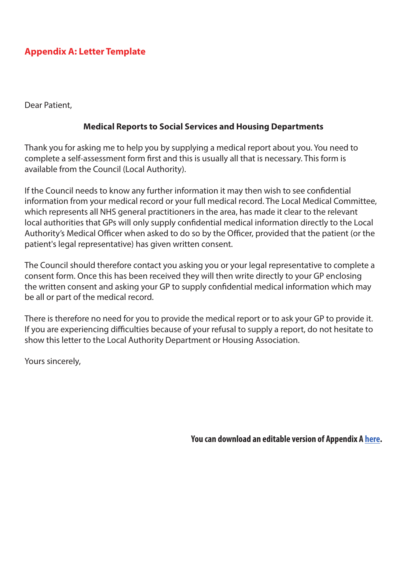## **Appendix A: Letter Template**

Dear Patient,

## **Medical Reports to Social Services and Housing Departments**

Thank you for asking me to help you by supplying a medical report about you. You need to complete a self-assessment form first and this is usually all that is necessary. This form is available from the Council (Local Authority).

If the Council needs to know any further information it may then wish to see confidential information from your medical record or your full medical record. The Local Medical Committee, which represents all NHS general practitioners in the area, has made it clear to the relevant local authorities that GPs will only supply confidential medical information directly to the Local Authority's Medical Officer when asked to do so by the Officer, provided that the patient (or the patient's legal representative) has given written consent.

The Council should therefore contact you asking you or your legal representative to complete a consent form. Once this has been received they will then write directly to your GP enclosing the written consent and asking your GP to supply confidential medical information which may be all or part of the medical record.

There is therefore no need for you to provide the medical report or to ask your GP to provide it. If you are experiencing difficulties because of your refusal to supply a report, do not hesitate to show this letter to the Local Authority Department or Housing Association.

Yours sincerely,

**You can download an editable version of Appendix A [here](http://www.lmc.org.uk/visageimages/guidance/2016/Londonwide%20LMCs-Medical%20Reports%20to%20Social%20Services%20and%20Housing%20Departments.docx).**